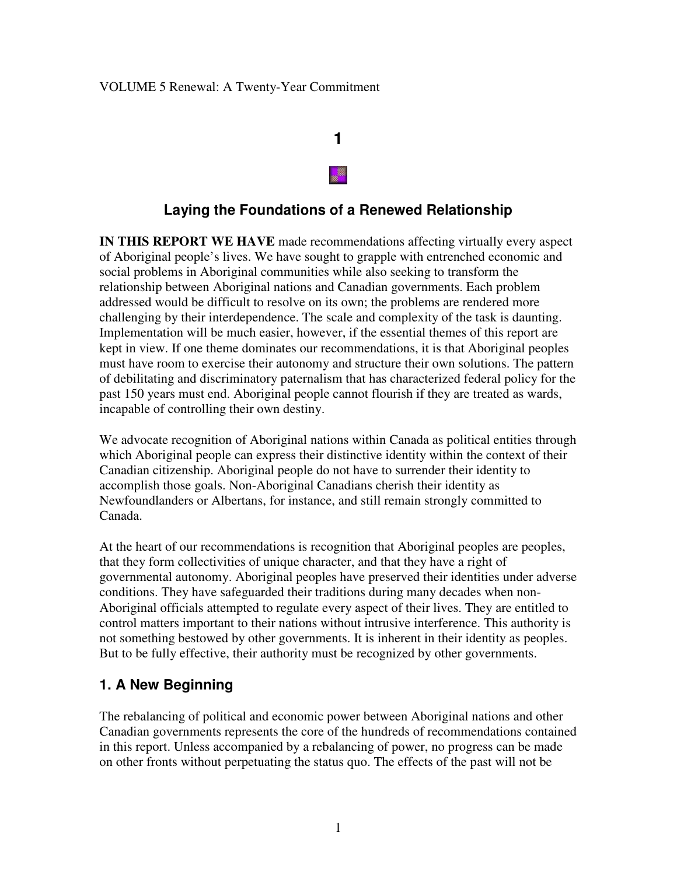

## **Laying the Foundations of a Renewed Relationship**

**IN THIS REPORT WE HAVE** made recommendations affecting virtually every aspect of Aboriginal people's lives. We have sought to grapple with entrenched economic and social problems in Aboriginal communities while also seeking to transform the relationship between Aboriginal nations and Canadian governments. Each problem addressed would be difficult to resolve on its own; the problems are rendered more challenging by their interdependence. The scale and complexity of the task is daunting. Implementation will be much easier, however, if the essential themes of this report are kept in view. If one theme dominates our recommendations, it is that Aboriginal peoples must have room to exercise their autonomy and structure their own solutions. The pattern of debilitating and discriminatory paternalism that has characterized federal policy for the past 150 years must end. Aboriginal people cannot flourish if they are treated as wards, incapable of controlling their own destiny.

We advocate recognition of Aboriginal nations within Canada as political entities through which Aboriginal people can express their distinctive identity within the context of their Canadian citizenship. Aboriginal people do not have to surrender their identity to accomplish those goals. Non-Aboriginal Canadians cherish their identity as Newfoundlanders or Albertans, for instance, and still remain strongly committed to Canada.

At the heart of our recommendations is recognition that Aboriginal peoples are peoples, that they form collectivities of unique character, and that they have a right of governmental autonomy. Aboriginal peoples have preserved their identities under adverse conditions. They have safeguarded their traditions during many decades when non-Aboriginal officials attempted to regulate every aspect of their lives. They are entitled to control matters important to their nations without intrusive interference. This authority is not something bestowed by other governments. It is inherent in their identity as peoples. But to be fully effective, their authority must be recognized by other governments.

## **1. A New Beginning**

The rebalancing of political and economic power between Aboriginal nations and other Canadian governments represents the core of the hundreds of recommendations contained in this report. Unless accompanied by a rebalancing of power, no progress can be made on other fronts without perpetuating the status quo. The effects of the past will not be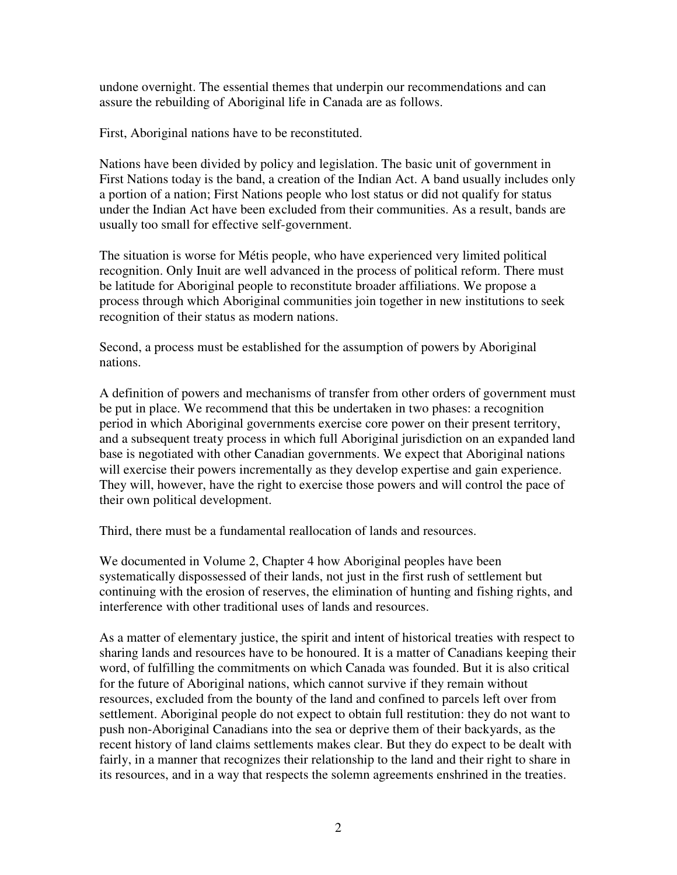undone overnight. The essential themes that underpin our recommendations and can assure the rebuilding of Aboriginal life in Canada are as follows.

First, Aboriginal nations have to be reconstituted.

Nations have been divided by policy and legislation. The basic unit of government in First Nations today is the band, a creation of the Indian Act. A band usually includes only a portion of a nation; First Nations people who lost status or did not qualify for status under the Indian Act have been excluded from their communities. As a result, bands are usually too small for effective self-government.

The situation is worse for Métis people, who have experienced very limited political recognition. Only Inuit are well advanced in the process of political reform. There must be latitude for Aboriginal people to reconstitute broader affiliations. We propose a process through which Aboriginal communities join together in new institutions to seek recognition of their status as modern nations.

Second, a process must be established for the assumption of powers by Aboriginal nations.

A definition of powers and mechanisms of transfer from other orders of government must be put in place. We recommend that this be undertaken in two phases: a recognition period in which Aboriginal governments exercise core power on their present territory, and a subsequent treaty process in which full Aboriginal jurisdiction on an expanded land base is negotiated with other Canadian governments. We expect that Aboriginal nations will exercise their powers incrementally as they develop expertise and gain experience. They will, however, have the right to exercise those powers and will control the pace of their own political development.

Third, there must be a fundamental reallocation of lands and resources.

We documented in Volume 2, Chapter 4 how Aboriginal peoples have been systematically dispossessed of their lands, not just in the first rush of settlement but continuing with the erosion of reserves, the elimination of hunting and fishing rights, and interference with other traditional uses of lands and resources.

As a matter of elementary justice, the spirit and intent of historical treaties with respect to sharing lands and resources have to be honoured. It is a matter of Canadians keeping their word, of fulfilling the commitments on which Canada was founded. But it is also critical for the future of Aboriginal nations, which cannot survive if they remain without resources, excluded from the bounty of the land and confined to parcels left over from settlement. Aboriginal people do not expect to obtain full restitution: they do not want to push non-Aboriginal Canadians into the sea or deprive them of their backyards, as the recent history of land claims settlements makes clear. But they do expect to be dealt with fairly, in a manner that recognizes their relationship to the land and their right to share in its resources, and in a way that respects the solemn agreements enshrined in the treaties.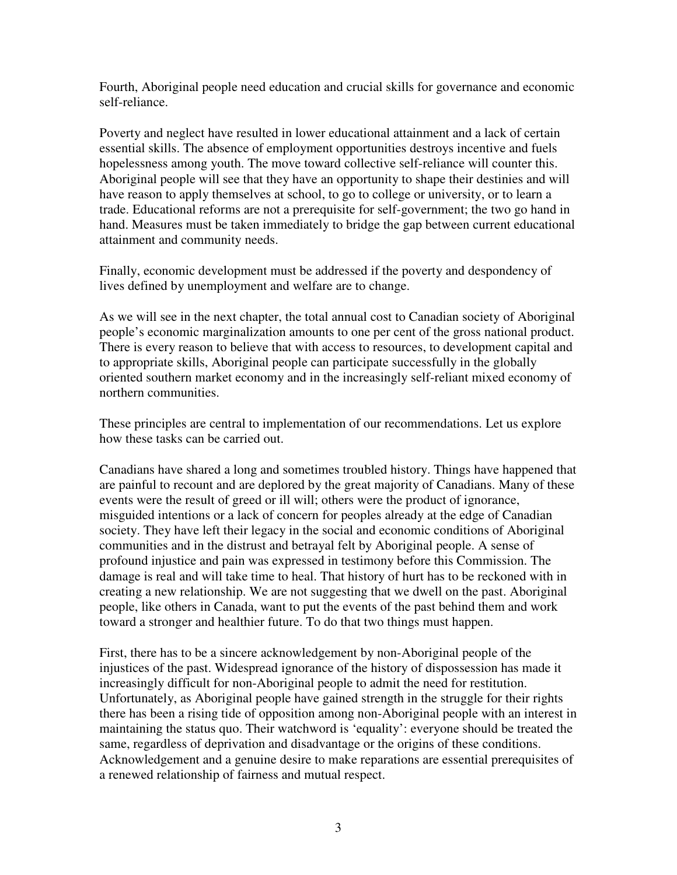Fourth, Aboriginal people need education and crucial skills for governance and economic self-reliance.

Poverty and neglect have resulted in lower educational attainment and a lack of certain essential skills. The absence of employment opportunities destroys incentive and fuels hopelessness among youth. The move toward collective self-reliance will counter this. Aboriginal people will see that they have an opportunity to shape their destinies and will have reason to apply themselves at school, to go to college or university, or to learn a trade. Educational reforms are not a prerequisite for self-government; the two go hand in hand. Measures must be taken immediately to bridge the gap between current educational attainment and community needs.

Finally, economic development must be addressed if the poverty and despondency of lives defined by unemployment and welfare are to change.

As we will see in the next chapter, the total annual cost to Canadian society of Aboriginal people's economic marginalization amounts to one per cent of the gross national product. There is every reason to believe that with access to resources, to development capital and to appropriate skills, Aboriginal people can participate successfully in the globally oriented southern market economy and in the increasingly self-reliant mixed economy of northern communities.

These principles are central to implementation of our recommendations. Let us explore how these tasks can be carried out.

Canadians have shared a long and sometimes troubled history. Things have happened that are painful to recount and are deplored by the great majority of Canadians. Many of these events were the result of greed or ill will; others were the product of ignorance, misguided intentions or a lack of concern for peoples already at the edge of Canadian society. They have left their legacy in the social and economic conditions of Aboriginal communities and in the distrust and betrayal felt by Aboriginal people. A sense of profound injustice and pain was expressed in testimony before this Commission. The damage is real and will take time to heal. That history of hurt has to be reckoned with in creating a new relationship. We are not suggesting that we dwell on the past. Aboriginal people, like others in Canada, want to put the events of the past behind them and work toward a stronger and healthier future. To do that two things must happen.

First, there has to be a sincere acknowledgement by non-Aboriginal people of the injustices of the past. Widespread ignorance of the history of dispossession has made it increasingly difficult for non-Aboriginal people to admit the need for restitution. Unfortunately, as Aboriginal people have gained strength in the struggle for their rights there has been a rising tide of opposition among non-Aboriginal people with an interest in maintaining the status quo. Their watchword is 'equality': everyone should be treated the same, regardless of deprivation and disadvantage or the origins of these conditions. Acknowledgement and a genuine desire to make reparations are essential prerequisites of a renewed relationship of fairness and mutual respect.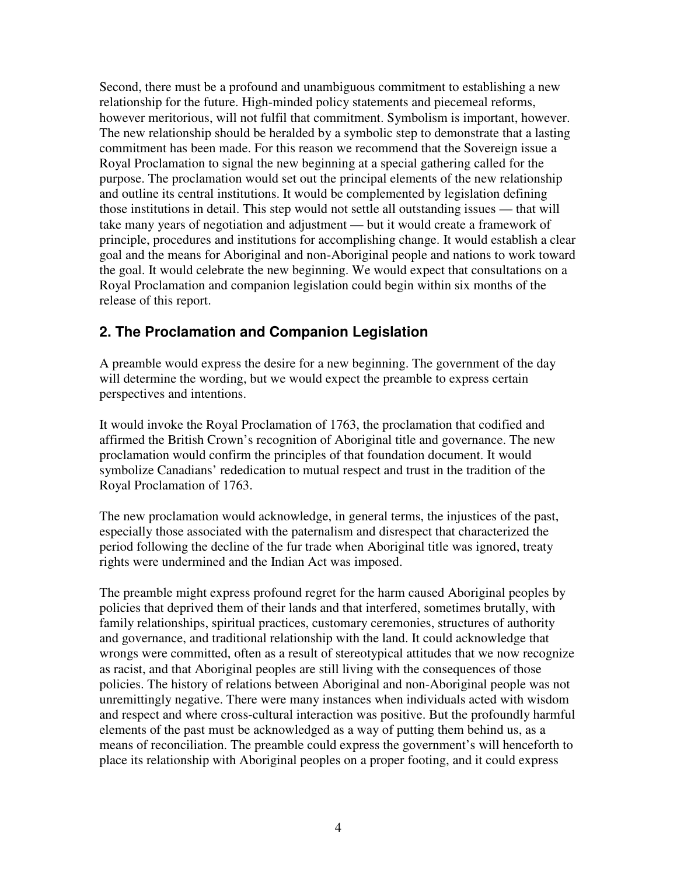Second, there must be a profound and unambiguous commitment to establishing a new relationship for the future. High-minded policy statements and piecemeal reforms, however meritorious, will not fulfil that commitment. Symbolism is important, however. The new relationship should be heralded by a symbolic step to demonstrate that a lasting commitment has been made. For this reason we recommend that the Sovereign issue a Royal Proclamation to signal the new beginning at a special gathering called for the purpose. The proclamation would set out the principal elements of the new relationship and outline its central institutions. It would be complemented by legislation defining those institutions in detail. This step would not settle all outstanding issues — that will take many years of negotiation and adjustment — but it would create a framework of principle, procedures and institutions for accomplishing change. It would establish a clear goal and the means for Aboriginal and non-Aboriginal people and nations to work toward the goal. It would celebrate the new beginning. We would expect that consultations on a Royal Proclamation and companion legislation could begin within six months of the release of this report.

## **2. The Proclamation and Companion Legislation**

A preamble would express the desire for a new beginning. The government of the day will determine the wording, but we would expect the preamble to express certain perspectives and intentions.

It would invoke the Royal Proclamation of 1763, the proclamation that codified and affirmed the British Crown's recognition of Aboriginal title and governance. The new proclamation would confirm the principles of that foundation document. It would symbolize Canadians' rededication to mutual respect and trust in the tradition of the Royal Proclamation of 1763.

The new proclamation would acknowledge, in general terms, the injustices of the past, especially those associated with the paternalism and disrespect that characterized the period following the decline of the fur trade when Aboriginal title was ignored, treaty rights were undermined and the Indian Act was imposed.

The preamble might express profound regret for the harm caused Aboriginal peoples by policies that deprived them of their lands and that interfered, sometimes brutally, with family relationships, spiritual practices, customary ceremonies, structures of authority and governance, and traditional relationship with the land. It could acknowledge that wrongs were committed, often as a result of stereotypical attitudes that we now recognize as racist, and that Aboriginal peoples are still living with the consequences of those policies. The history of relations between Aboriginal and non-Aboriginal people was not unremittingly negative. There were many instances when individuals acted with wisdom and respect and where cross-cultural interaction was positive. But the profoundly harmful elements of the past must be acknowledged as a way of putting them behind us, as a means of reconciliation. The preamble could express the government's will henceforth to place its relationship with Aboriginal peoples on a proper footing, and it could express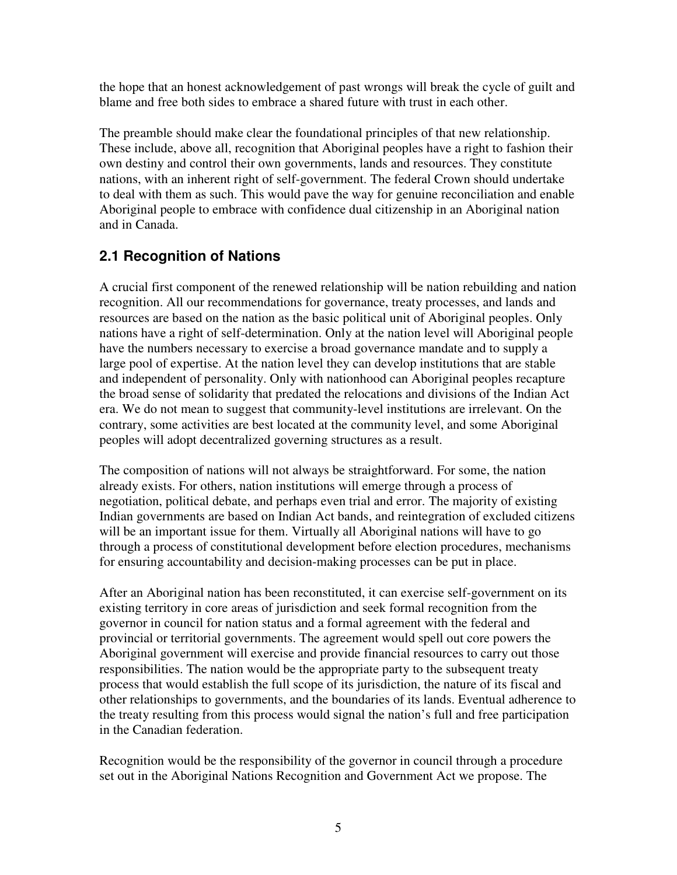the hope that an honest acknowledgement of past wrongs will break the cycle of guilt and blame and free both sides to embrace a shared future with trust in each other.

The preamble should make clear the foundational principles of that new relationship. These include, above all, recognition that Aboriginal peoples have a right to fashion their own destiny and control their own governments, lands and resources. They constitute nations, with an inherent right of self-government. The federal Crown should undertake to deal with them as such. This would pave the way for genuine reconciliation and enable Aboriginal people to embrace with confidence dual citizenship in an Aboriginal nation and in Canada.

## **2.1 Recognition of Nations**

A crucial first component of the renewed relationship will be nation rebuilding and nation recognition. All our recommendations for governance, treaty processes, and lands and resources are based on the nation as the basic political unit of Aboriginal peoples. Only nations have a right of self-determination. Only at the nation level will Aboriginal people have the numbers necessary to exercise a broad governance mandate and to supply a large pool of expertise. At the nation level they can develop institutions that are stable and independent of personality. Only with nationhood can Aboriginal peoples recapture the broad sense of solidarity that predated the relocations and divisions of the Indian Act era. We do not mean to suggest that community-level institutions are irrelevant. On the contrary, some activities are best located at the community level, and some Aboriginal peoples will adopt decentralized governing structures as a result.

The composition of nations will not always be straightforward. For some, the nation already exists. For others, nation institutions will emerge through a process of negotiation, political debate, and perhaps even trial and error. The majority of existing Indian governments are based on Indian Act bands, and reintegration of excluded citizens will be an important issue for them. Virtually all Aboriginal nations will have to go through a process of constitutional development before election procedures, mechanisms for ensuring accountability and decision-making processes can be put in place.

After an Aboriginal nation has been reconstituted, it can exercise self-government on its existing territory in core areas of jurisdiction and seek formal recognition from the governor in council for nation status and a formal agreement with the federal and provincial or territorial governments. The agreement would spell out core powers the Aboriginal government will exercise and provide financial resources to carry out those responsibilities. The nation would be the appropriate party to the subsequent treaty process that would establish the full scope of its jurisdiction, the nature of its fiscal and other relationships to governments, and the boundaries of its lands. Eventual adherence to the treaty resulting from this process would signal the nation's full and free participation in the Canadian federation.

Recognition would be the responsibility of the governor in council through a procedure set out in the Aboriginal Nations Recognition and Government Act we propose. The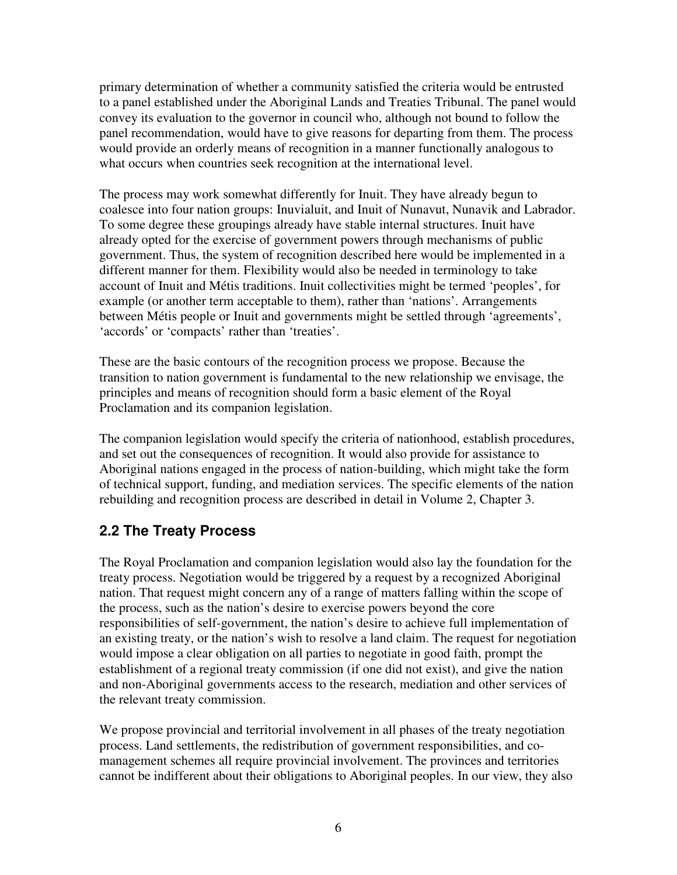primary determination of whether a community satisfied the criteria would be entrusted to a panel established under the Aboriginal Lands and Treaties Tribunal. The panel would convey its evaluation to the governor in council who, although not bound to follow the panel recommendation, would have to give reasons for departing from them. The process would provide an orderly means of recognition in a manner functionally analogous to what occurs when countries seek recognition at the international level.

The process may work somewhat differently for Inuit. They have already begun to coalesce into four nation groups: Inuvialuit, and Inuit of Nunavut, Nunavik and Labrador. To some degree these groupings already have stable internal structures. Inuit have already opted for the exercise of government powers through mechanisms of public government. Thus, the system of recognition described here would be implemented in a different manner for them. Flexibility would also be needed in terminology to take account of Inuit and Métis traditions. Inuit collectivities might be termed 'peoples', for example (or another term acceptable to them), rather than 'nations'. Arrangements between Métis people or Inuit and governments might be settled through 'agreements', 'accords' or 'compacts' rather than 'treaties'.

These are the basic contours of the recognition process we propose. Because the transition to nation government is fundamental to the new relationship we envisage, the principles and means of recognition should form a basic element of the Royal Proclamation and its companion legislation.

The companion legislation would specify the criteria of nationhood, establish procedures, and set out the consequences of recognition. It would also provide for assistance to Aboriginal nations engaged in the process of nation-building, which might take the form of technical support, funding, and mediation services. The specific elements of the nation rebuilding and recognition process are described in detail in Volume 2, Chapter 3.

## **2.2 The Treaty Process**

The Royal Proclamation and companion legislation would also lay the foundation for the treaty process. Negotiation would be triggered by a request by a recognized Aboriginal nation. That request might concern any of a range of matters falling within the scope of the process, such as the nation's desire to exercise powers beyond the core responsibilities of self-government, the nation's desire to achieve full implementation of an existing treaty, or the nation's wish to resolve a land claim. The request for negotiation would impose a clear obligation on all parties to negotiate in good faith, prompt the establishment of a regional treaty commission (if one did not exist), and give the nation and non-Aboriginal governments access to the research, mediation and other services of the relevant treaty commission.

We propose provincial and territorial involvement in all phases of the treaty negotiation process. Land settlements, the redistribution of government responsibilities, and comanagement schemes all require provincial involvement. The provinces and territories cannot be indifferent about their obligations to Aboriginal peoples. In our view, they also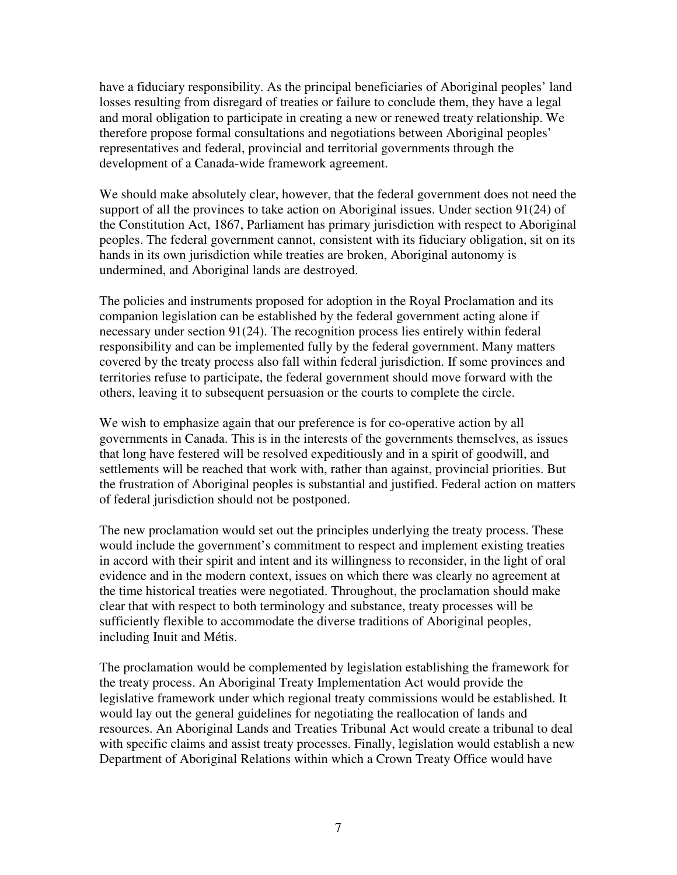have a fiduciary responsibility. As the principal beneficiaries of Aboriginal peoples' land losses resulting from disregard of treaties or failure to conclude them, they have a legal and moral obligation to participate in creating a new or renewed treaty relationship. We therefore propose formal consultations and negotiations between Aboriginal peoples' representatives and federal, provincial and territorial governments through the development of a Canada-wide framework agreement.

We should make absolutely clear, however, that the federal government does not need the support of all the provinces to take action on Aboriginal issues. Under section 91(24) of the Constitution Act, 1867, Parliament has primary jurisdiction with respect to Aboriginal peoples. The federal government cannot, consistent with its fiduciary obligation, sit on its hands in its own jurisdiction while treaties are broken, Aboriginal autonomy is undermined, and Aboriginal lands are destroyed.

The policies and instruments proposed for adoption in the Royal Proclamation and its companion legislation can be established by the federal government acting alone if necessary under section 91(24). The recognition process lies entirely within federal responsibility and can be implemented fully by the federal government. Many matters covered by the treaty process also fall within federal jurisdiction. If some provinces and territories refuse to participate, the federal government should move forward with the others, leaving it to subsequent persuasion or the courts to complete the circle.

We wish to emphasize again that our preference is for co-operative action by all governments in Canada. This is in the interests of the governments themselves, as issues that long have festered will be resolved expeditiously and in a spirit of goodwill, and settlements will be reached that work with, rather than against, provincial priorities. But the frustration of Aboriginal peoples is substantial and justified. Federal action on matters of federal jurisdiction should not be postponed.

The new proclamation would set out the principles underlying the treaty process. These would include the government's commitment to respect and implement existing treaties in accord with their spirit and intent and its willingness to reconsider, in the light of oral evidence and in the modern context, issues on which there was clearly no agreement at the time historical treaties were negotiated. Throughout, the proclamation should make clear that with respect to both terminology and substance, treaty processes will be sufficiently flexible to accommodate the diverse traditions of Aboriginal peoples, including Inuit and Métis.

The proclamation would be complemented by legislation establishing the framework for the treaty process. An Aboriginal Treaty Implementation Act would provide the legislative framework under which regional treaty commissions would be established. It would lay out the general guidelines for negotiating the reallocation of lands and resources. An Aboriginal Lands and Treaties Tribunal Act would create a tribunal to deal with specific claims and assist treaty processes. Finally, legislation would establish a new Department of Aboriginal Relations within which a Crown Treaty Office would have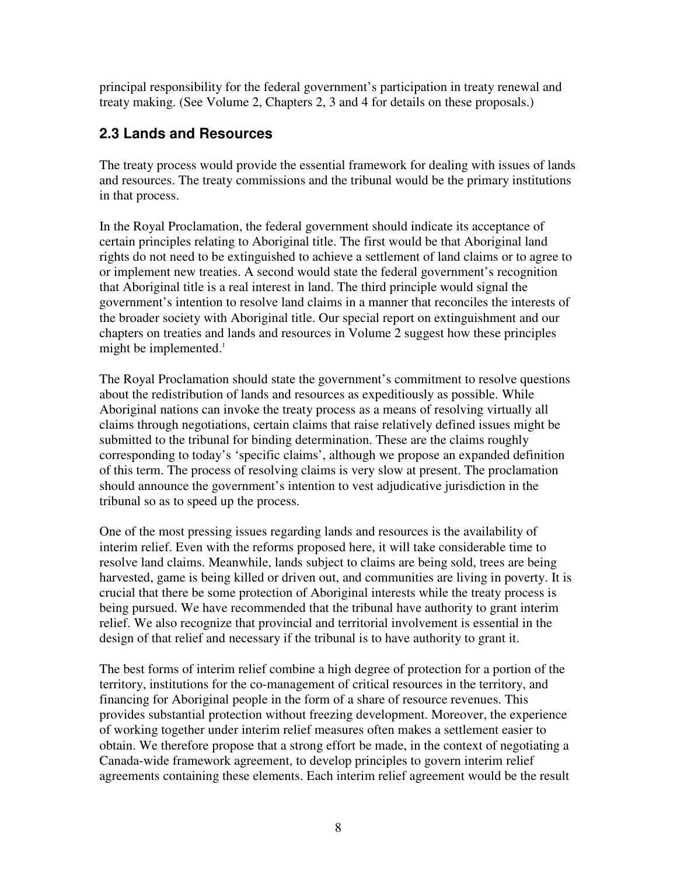principal responsibility for the federal government's participation in treaty renewal and treaty making. (See Volume 2, Chapters 2, 3 and 4 for details on these proposals.)

### **2.3 Lands and Resources**

The treaty process would provide the essential framework for dealing with issues of lands and resources. The treaty commissions and the tribunal would be the primary institutions in that process.

In the Royal Proclamation, the federal government should indicate its acceptance of certain principles relating to Aboriginal title. The first would be that Aboriginal land rights do not need to be extinguished to achieve a settlement of land claims or to agree to or implement new treaties. A second would state the federal government's recognition that Aboriginal title is a real interest in land. The third principle would signal the government's intention to resolve land claims in a manner that reconciles the interests of the broader society with Aboriginal title. Our special report on extinguishment and our chapters on treaties and lands and resources in Volume 2 suggest how these principles might be implemented. 1

The Royal Proclamation should state the government's commitment to resolve questions about the redistribution of lands and resources as expeditiously as possible. While Aboriginal nations can invoke the treaty process as a means of resolving virtually all claims through negotiations, certain claims that raise relatively defined issues might be submitted to the tribunal for binding determination. These are the claims roughly corresponding to today's 'specific claims', although we propose an expanded definition of this term. The process of resolving claims is very slow at present. The proclamation should announce the government's intention to vest adjudicative jurisdiction in the tribunal so as to speed up the process.

One of the most pressing issues regarding lands and resources is the availability of interim relief. Even with the reforms proposed here, it will take considerable time to resolve land claims. Meanwhile, lands subject to claims are being sold, trees are being harvested, game is being killed or driven out, and communities are living in poverty. It is crucial that there be some protection of Aboriginal interests while the treaty process is being pursued. We have recommended that the tribunal have authority to grant interim relief. We also recognize that provincial and territorial involvement is essential in the design of that relief and necessary if the tribunal is to have authority to grant it.

The best forms of interim relief combine a high degree of protection for a portion of the territory, institutions for the co-management of critical resources in the territory, and financing for Aboriginal people in the form of a share of resource revenues. This provides substantial protection without freezing development. Moreover, the experience of working together under interim relief measures often makes a settlement easier to obtain. We therefore propose that a strong effort be made, in the context of negotiating a Canada-wide framework agreement, to develop principles to govern interim relief agreements containing these elements. Each interim relief agreement would be the result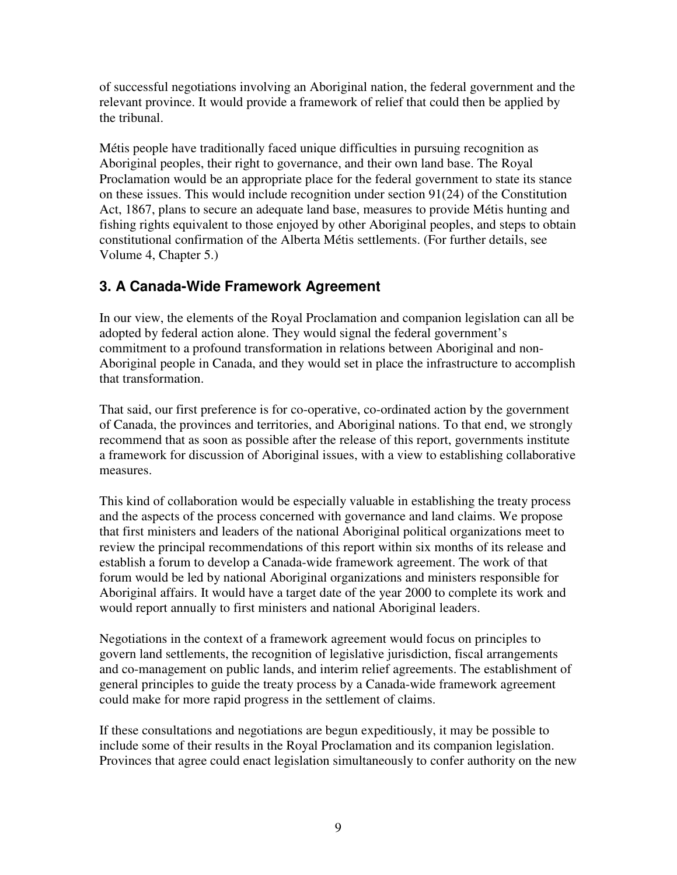of successful negotiations involving an Aboriginal nation, the federal government and the relevant province. It would provide a framework of relief that could then be applied by the tribunal.

Métis people have traditionally faced unique difficulties in pursuing recognition as Aboriginal peoples, their right to governance, and their own land base. The Royal Proclamation would be an appropriate place for the federal government to state its stance on these issues. This would include recognition under section 91(24) of the Constitution Act, 1867, plans to secure an adequate land base, measures to provide Métis hunting and fishing rights equivalent to those enjoyed by other Aboriginal peoples, and steps to obtain constitutional confirmation of the Alberta Métis settlements. (For further details, see Volume 4, Chapter 5.)

# **3. A Canada-Wide Framework Agreement**

In our view, the elements of the Royal Proclamation and companion legislation can all be adopted by federal action alone. They would signal the federal government's commitment to a profound transformation in relations between Aboriginal and non-Aboriginal people in Canada, and they would set in place the infrastructure to accomplish that transformation.

That said, our first preference is for co-operative, co-ordinated action by the government of Canada, the provinces and territories, and Aboriginal nations. To that end, we strongly recommend that as soon as possible after the release of this report, governments institute a framework for discussion of Aboriginal issues, with a view to establishing collaborative measures.

This kind of collaboration would be especially valuable in establishing the treaty process and the aspects of the process concerned with governance and land claims. We propose that first ministers and leaders of the national Aboriginal political organizations meet to review the principal recommendations of this report within six months of its release and establish a forum to develop a Canada-wide framework agreement. The work of that forum would be led by national Aboriginal organizations and ministers responsible for Aboriginal affairs. It would have a target date of the year 2000 to complete its work and would report annually to first ministers and national Aboriginal leaders.

Negotiations in the context of a framework agreement would focus on principles to govern land settlements, the recognition of legislative jurisdiction, fiscal arrangements and co-management on public lands, and interim relief agreements. The establishment of general principles to guide the treaty process by a Canada-wide framework agreement could make for more rapid progress in the settlement of claims.

If these consultations and negotiations are begun expeditiously, it may be possible to include some of their results in the Royal Proclamation and its companion legislation. Provinces that agree could enact legislation simultaneously to confer authority on the new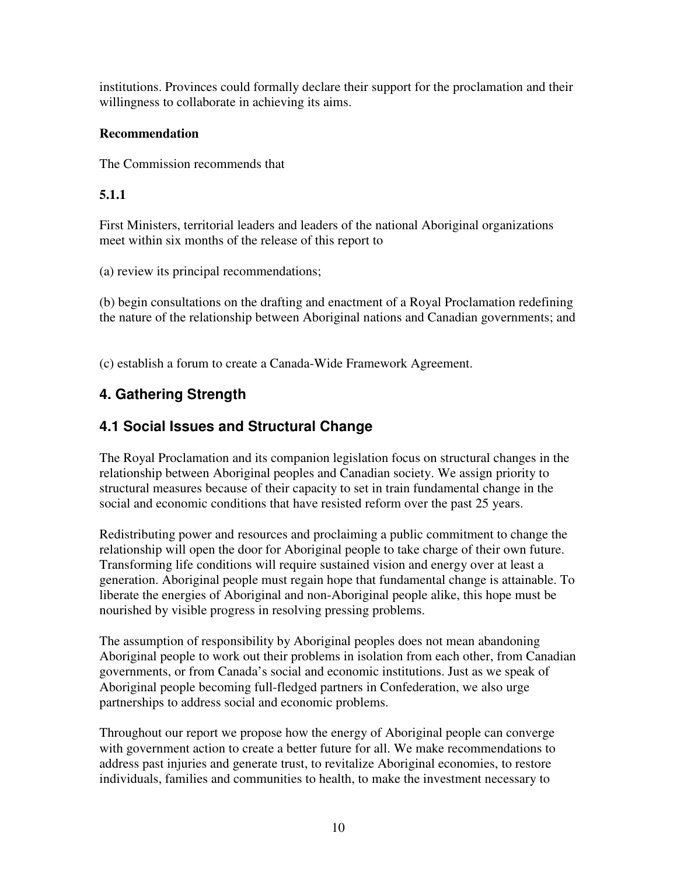institutions. Provinces could formally declare their support for the proclamation and their willingness to collaborate in achieving its aims.

### **Recommendation**

The Commission recommends that

## **5.1.1**

First Ministers, territorial leaders and leaders of the national Aboriginal organizations meet within six months of the release of this report to

(a) review its principal recommendations;

(b) begin consultations on the drafting and enactment of a Royal Proclamation redefining the nature of the relationship between Aboriginal nations and Canadian governments; and

(c) establish a forum to create a Canada-Wide Framework Agreement.

# **4. Gathering Strength**

# **4.1 Social Issues and Structural Change**

The Royal Proclamation and its companion legislation focus on structural changes in the relationship between Aboriginal peoples and Canadian society. We assign priority to structural measures because of their capacity to set in train fundamental change in the social and economic conditions that have resisted reform over the past 25 years.

Redistributing power and resources and proclaiming a public commitment to change the relationship will open the door for Aboriginal people to take charge of their own future. Transforming life conditions will require sustained vision and energy over at least a generation. Aboriginal people must regain hope that fundamental change is attainable. To liberate the energies of Aboriginal and non-Aboriginal people alike, this hope must be nourished by visible progress in resolving pressing problems.

The assumption of responsibility by Aboriginal peoples does not mean abandoning Aboriginal people to work out their problems in isolation from each other, from Canadian governments, or from Canada's social and economic institutions. Just as we speak of Aboriginal people becoming full-fledged partners in Confederation, we also urge partnerships to address social and economic problems.

Throughout our report we propose how the energy of Aboriginal people can converge with government action to create a better future for all. We make recommendations to address past injuries and generate trust, to revitalize Aboriginal economies, to restore individuals, families and communities to health, to make the investment necessary to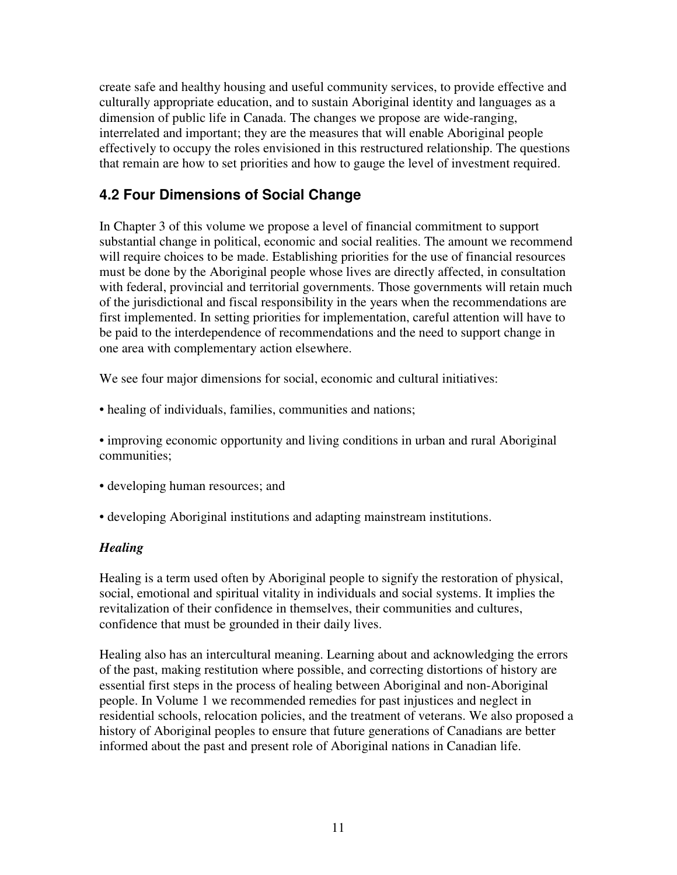create safe and healthy housing and useful community services, to provide effective and culturally appropriate education, and to sustain Aboriginal identity and languages as a dimension of public life in Canada. The changes we propose are wide-ranging, interrelated and important; they are the measures that will enable Aboriginal people effectively to occupy the roles envisioned in this restructured relationship. The questions that remain are how to set priorities and how to gauge the level of investment required.

## **4.2 Four Dimensions of Social Change**

In Chapter 3 of this volume we propose a level of financial commitment to support substantial change in political, economic and social realities. The amount we recommend will require choices to be made. Establishing priorities for the use of financial resources must be done by the Aboriginal people whose lives are directly affected, in consultation with federal, provincial and territorial governments. Those governments will retain much of the jurisdictional and fiscal responsibility in the years when the recommendations are first implemented. In setting priorities for implementation, careful attention will have to be paid to the interdependence of recommendations and the need to support change in one area with complementary action elsewhere.

We see four major dimensions for social, economic and cultural initiatives:

• healing of individuals, families, communities and nations;

• improving economic opportunity and living conditions in urban and rural Aboriginal communities;

- developing human resources; and
- developing Aboriginal institutions and adapting mainstream institutions.

### *Healing*

Healing is a term used often by Aboriginal people to signify the restoration of physical, social, emotional and spiritual vitality in individuals and social systems. It implies the revitalization of their confidence in themselves, their communities and cultures, confidence that must be grounded in their daily lives.

Healing also has an intercultural meaning. Learning about and acknowledging the errors of the past, making restitution where possible, and correcting distortions of history are essential first steps in the process of healing between Aboriginal and non-Aboriginal people. In Volume 1 we recommended remedies for past injustices and neglect in residential schools, relocation policies, and the treatment of veterans. We also proposed a history of Aboriginal peoples to ensure that future generations of Canadians are better informed about the past and present role of Aboriginal nations in Canadian life.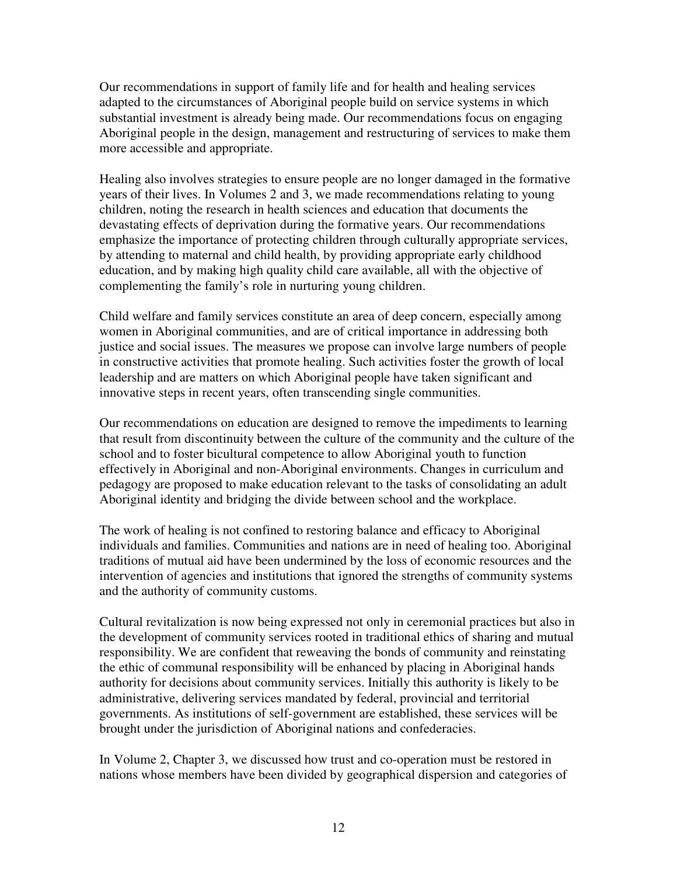Our recommendations in support of family life and for health and healing services adapted to the circumstances of Aboriginal people build on service systems in which substantial investment is already being made. Our recommendations focus on engaging Aboriginal people in the design, management and restructuring of services to make them more accessible and appropriate.

Healing also involves strategies to ensure people are no longer damaged in the formative years of their lives. In Volumes 2 and 3, we made recommendations relating to young children, noting the research in health sciences and education that documents the devastating effects of deprivation during the formative years. Our recommendations emphasize the importance of protecting children through culturally appropriate services, by attending to maternal and child health, by providing appropriate early childhood education, and by making high quality child care available, all with the objective of complementing the family's role in nurturing young children.

Child welfare and family services constitute an area of deep concern, especially among women in Aboriginal communities, and are of critical importance in addressing both justice and social issues. The measures we propose can involve large numbers of people in constructive activities that promote healing. Such activities foster the growth of local leadership and are matters on which Aboriginal people have taken significant and innovative steps in recent years, often transcending single communities.

Our recommendations on education are designed to remove the impediments to learning that result from discontinuity between the culture of the community and the culture of the school and to foster bicultural competence to allow Aboriginal youth to function effectively in Aboriginal and non-Aboriginal environments. Changes in curriculum and pedagogy are proposed to make education relevant to the tasks of consolidating an adult Aboriginal identity and bridging the divide between school and the workplace.

The work of healing is not confined to restoring balance and efficacy to Aboriginal individuals and families. Communities and nations are in need of healing too. Aboriginal traditions of mutual aid have been undermined by the loss of economic resources and the intervention of agencies and institutions that ignored the strengths of community systems and the authority of community customs.

Cultural revitalization is now being expressed not only in ceremonial practices but also in the development of community services rooted in traditional ethics of sharing and mutual responsibility. We are confident that reweaving the bonds of community and reinstating the ethic of communal responsibility will be enhanced by placing in Aboriginal hands authority for decisions about community services. Initially this authority is likely to be administrative, delivering services mandated by federal, provincial and territorial governments. As institutions of self-government are established, these services will be brought under the jurisdiction of Aboriginal nations and confederacies.

In Volume 2, Chapter 3, we discussed how trust and co-operation must be restored in nations whose members have been divided by geographical dispersion and categories of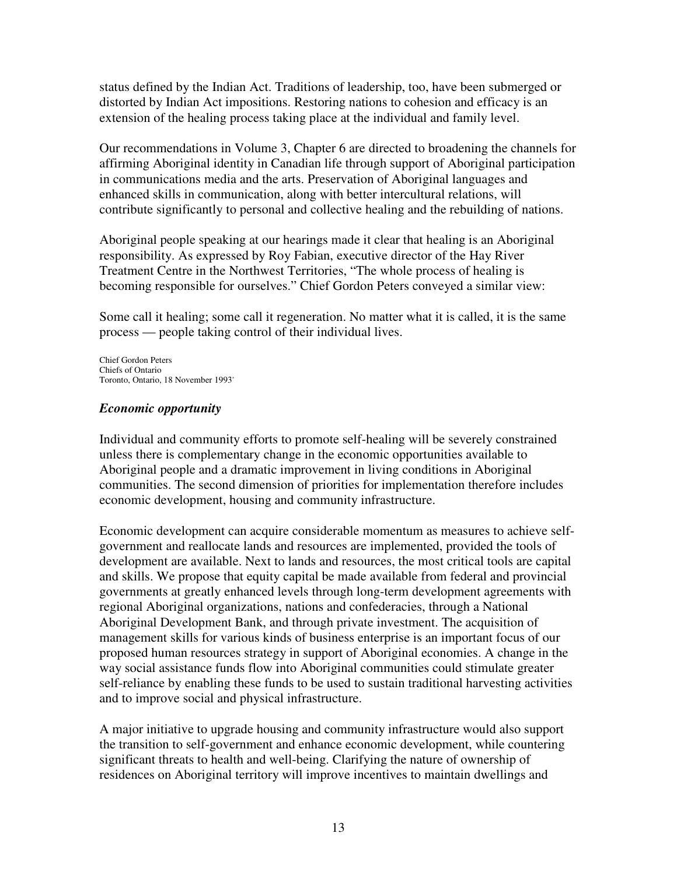status defined by the Indian Act. Traditions of leadership, too, have been submerged or distorted by Indian Act impositions. Restoring nations to cohesion and efficacy is an extension of the healing process taking place at the individual and family level.

Our recommendations in Volume 3, Chapter 6 are directed to broadening the channels for affirming Aboriginal identity in Canadian life through support of Aboriginal participation in communications media and the arts. Preservation of Aboriginal languages and enhanced skills in communication, along with better intercultural relations, will contribute significantly to personal and collective healing and the rebuilding of nations.

Aboriginal people speaking at our hearings made it clear that healing is an Aboriginal responsibility. As expressed by Roy Fabian, executive director of the Hay River Treatment Centre in the Northwest Territories, "The whole process of healing is becoming responsible for ourselves." Chief Gordon Peters conveyed a similar view:

Some call it healing; some call it regeneration. No matter what it is called, it is the same process — people taking control of their individual lives.

Chief Gordon Peters Chiefs of Ontario Toronto, Ontario, 18 November 1993 \*

#### *Economic opportunity*

Individual and community efforts to promote self-healing will be severely constrained unless there is complementary change in the economic opportunities available to Aboriginal people and a dramatic improvement in living conditions in Aboriginal communities. The second dimension of priorities for implementation therefore includes economic development, housing and community infrastructure.

Economic development can acquire considerable momentum as measures to achieve selfgovernment and reallocate lands and resources are implemented, provided the tools of development are available. Next to lands and resources, the most critical tools are capital and skills. We propose that equity capital be made available from federal and provincial governments at greatly enhanced levels through long-term development agreements with regional Aboriginal organizations, nations and confederacies, through a National Aboriginal Development Bank, and through private investment. The acquisition of management skills for various kinds of business enterprise is an important focus of our proposed human resources strategy in support of Aboriginal economies. A change in the way social assistance funds flow into Aboriginal communities could stimulate greater self-reliance by enabling these funds to be used to sustain traditional harvesting activities and to improve social and physical infrastructure.

A major initiative to upgrade housing and community infrastructure would also support the transition to self-government and enhance economic development, while countering significant threats to health and well-being. Clarifying the nature of ownership of residences on Aboriginal territory will improve incentives to maintain dwellings and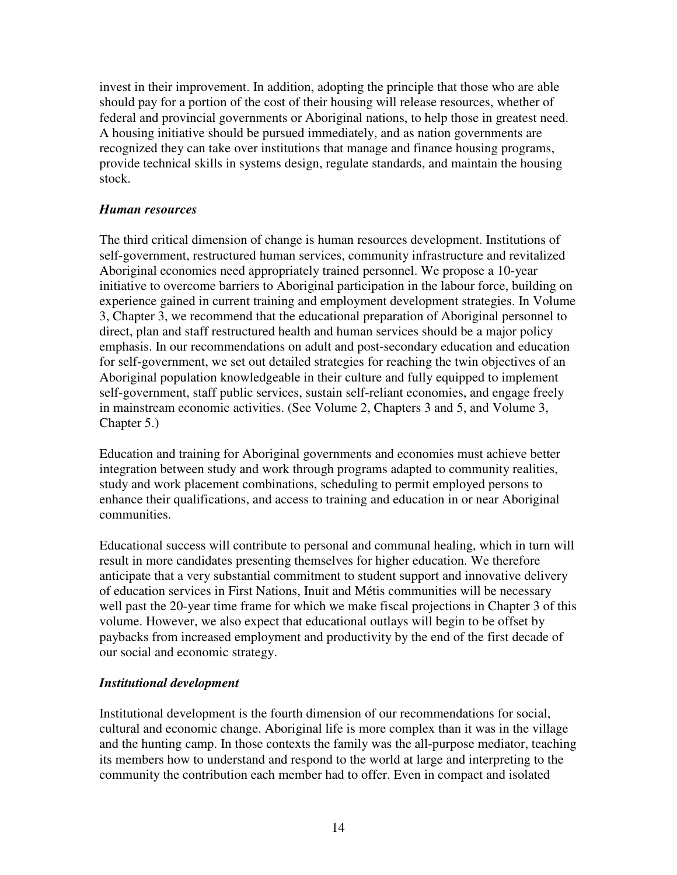invest in their improvement. In addition, adopting the principle that those who are able should pay for a portion of the cost of their housing will release resources, whether of federal and provincial governments or Aboriginal nations, to help those in greatest need. A housing initiative should be pursued immediately, and as nation governments are recognized they can take over institutions that manage and finance housing programs, provide technical skills in systems design, regulate standards, and maintain the housing stock.

#### *Human resources*

The third critical dimension of change is human resources development. Institutions of self-government, restructured human services, community infrastructure and revitalized Aboriginal economies need appropriately trained personnel. We propose a 10-year initiative to overcome barriers to Aboriginal participation in the labour force, building on experience gained in current training and employment development strategies. In Volume 3, Chapter 3, we recommend that the educational preparation of Aboriginal personnel to direct, plan and staff restructured health and human services should be a major policy emphasis. In our recommendations on adult and post-secondary education and education for self-government, we set out detailed strategies for reaching the twin objectives of an Aboriginal population knowledgeable in their culture and fully equipped to implement self-government, staff public services, sustain self-reliant economies, and engage freely in mainstream economic activities. (See Volume 2, Chapters 3 and 5, and Volume 3, Chapter 5.)

Education and training for Aboriginal governments and economies must achieve better integration between study and work through programs adapted to community realities, study and work placement combinations, scheduling to permit employed persons to enhance their qualifications, and access to training and education in or near Aboriginal communities.

Educational success will contribute to personal and communal healing, which in turn will result in more candidates presenting themselves for higher education. We therefore anticipate that a very substantial commitment to student support and innovative delivery of education services in First Nations, Inuit and Métis communities will be necessary well past the 20-year time frame for which we make fiscal projections in Chapter 3 of this volume. However, we also expect that educational outlays will begin to be offset by paybacks from increased employment and productivity by the end of the first decade of our social and economic strategy.

#### *Institutional development*

Institutional development is the fourth dimension of our recommendations for social, cultural and economic change. Aboriginal life is more complex than it was in the village and the hunting camp. In those contexts the family was the all-purpose mediator, teaching its members how to understand and respond to the world at large and interpreting to the community the contribution each member had to offer. Even in compact and isolated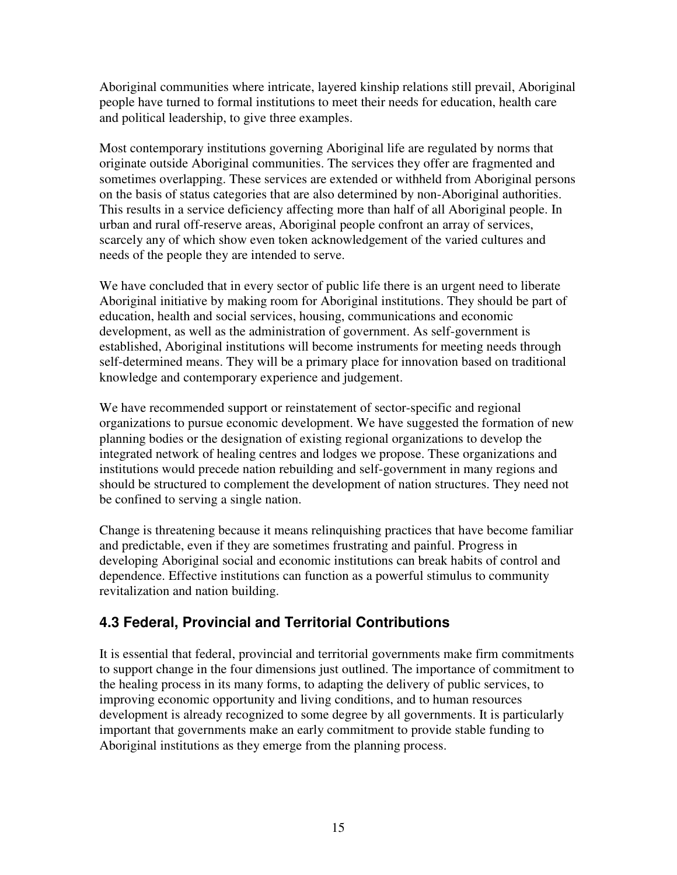Aboriginal communities where intricate, layered kinship relations still prevail, Aboriginal people have turned to formal institutions to meet their needs for education, health care and political leadership, to give three examples.

Most contemporary institutions governing Aboriginal life are regulated by norms that originate outside Aboriginal communities. The services they offer are fragmented and sometimes overlapping. These services are extended or withheld from Aboriginal persons on the basis of status categories that are also determined by non-Aboriginal authorities. This results in a service deficiency affecting more than half of all Aboriginal people. In urban and rural off-reserve areas, Aboriginal people confront an array of services, scarcely any of which show even token acknowledgement of the varied cultures and needs of the people they are intended to serve.

We have concluded that in every sector of public life there is an urgent need to liberate Aboriginal initiative by making room for Aboriginal institutions. They should be part of education, health and social services, housing, communications and economic development, as well as the administration of government. As self-government is established, Aboriginal institutions will become instruments for meeting needs through self-determined means. They will be a primary place for innovation based on traditional knowledge and contemporary experience and judgement.

We have recommended support or reinstatement of sector-specific and regional organizations to pursue economic development. We have suggested the formation of new planning bodies or the designation of existing regional organizations to develop the integrated network of healing centres and lodges we propose. These organizations and institutions would precede nation rebuilding and self-government in many regions and should be structured to complement the development of nation structures. They need not be confined to serving a single nation.

Change is threatening because it means relinquishing practices that have become familiar and predictable, even if they are sometimes frustrating and painful. Progress in developing Aboriginal social and economic institutions can break habits of control and dependence. Effective institutions can function as a powerful stimulus to community revitalization and nation building.

## **4.3 Federal, Provincial and Territorial Contributions**

It is essential that federal, provincial and territorial governments make firm commitments to support change in the four dimensions just outlined. The importance of commitment to the healing process in its many forms, to adapting the delivery of public services, to improving economic opportunity and living conditions, and to human resources development is already recognized to some degree by all governments. It is particularly important that governments make an early commitment to provide stable funding to Aboriginal institutions as they emerge from the planning process.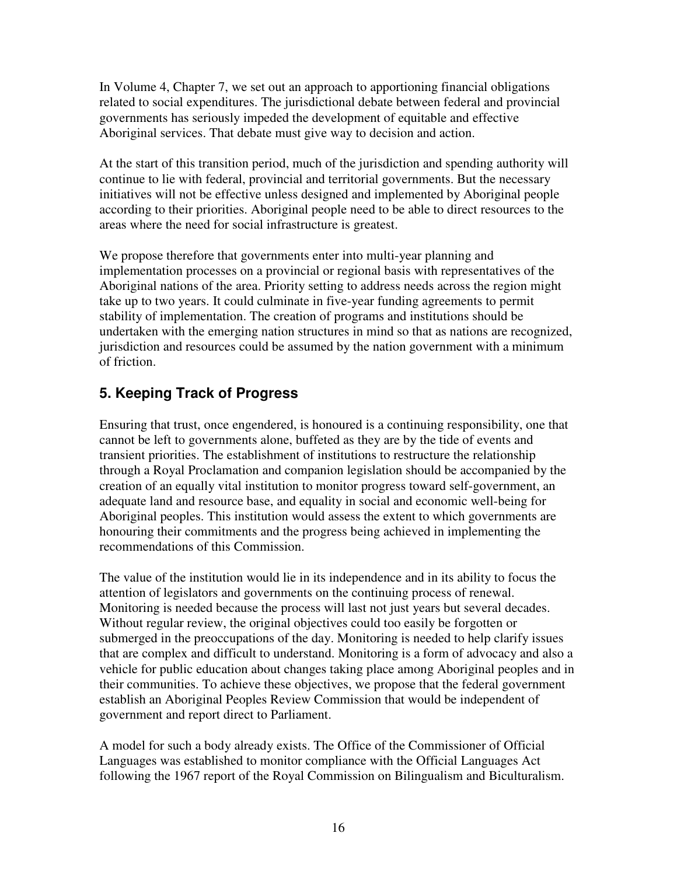In Volume 4, Chapter 7, we set out an approach to apportioning financial obligations related to social expenditures. The jurisdictional debate between federal and provincial governments has seriously impeded the development of equitable and effective Aboriginal services. That debate must give way to decision and action.

At the start of this transition period, much of the jurisdiction and spending authority will continue to lie with federal, provincial and territorial governments. But the necessary initiatives will not be effective unless designed and implemented by Aboriginal people according to their priorities. Aboriginal people need to be able to direct resources to the areas where the need for social infrastructure is greatest.

We propose therefore that governments enter into multi-year planning and implementation processes on a provincial or regional basis with representatives of the Aboriginal nations of the area. Priority setting to address needs across the region might take up to two years. It could culminate in five-year funding agreements to permit stability of implementation. The creation of programs and institutions should be undertaken with the emerging nation structures in mind so that as nations are recognized, jurisdiction and resources could be assumed by the nation government with a minimum of friction.

## **5. Keeping Track of Progress**

Ensuring that trust, once engendered, is honoured is a continuing responsibility, one that cannot be left to governments alone, buffeted as they are by the tide of events and transient priorities. The establishment of institutions to restructure the relationship through a Royal Proclamation and companion legislation should be accompanied by the creation of an equally vital institution to monitor progress toward self-government, an adequate land and resource base, and equality in social and economic well-being for Aboriginal peoples. This institution would assess the extent to which governments are honouring their commitments and the progress being achieved in implementing the recommendations of this Commission.

The value of the institution would lie in its independence and in its ability to focus the attention of legislators and governments on the continuing process of renewal. Monitoring is needed because the process will last not just years but several decades. Without regular review, the original objectives could too easily be forgotten or submerged in the preoccupations of the day. Monitoring is needed to help clarify issues that are complex and difficult to understand. Monitoring is a form of advocacy and also a vehicle for public education about changes taking place among Aboriginal peoples and in their communities. To achieve these objectives, we propose that the federal government establish an Aboriginal Peoples Review Commission that would be independent of government and report direct to Parliament.

A model for such a body already exists. The Office of the Commissioner of Official Languages was established to monitor compliance with the Official Languages Act following the 1967 report of the Royal Commission on Bilingualism and Biculturalism.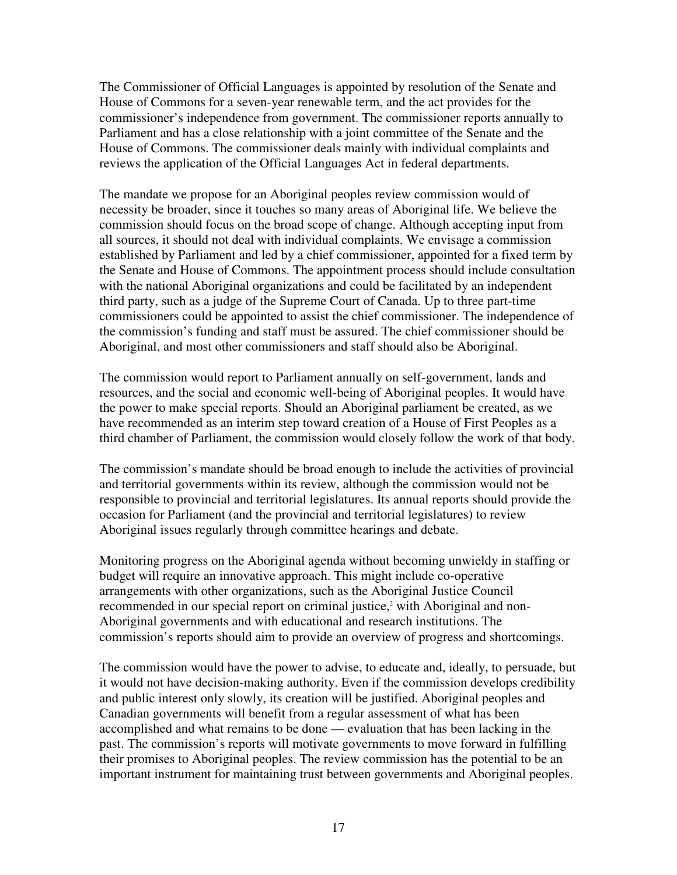The Commissioner of Official Languages is appointed by resolution of the Senate and House of Commons for a seven-year renewable term, and the act provides for the commissioner's independence from government. The commissioner reports annually to Parliament and has a close relationship with a joint committee of the Senate and the House of Commons. The commissioner deals mainly with individual complaints and reviews the application of the Official Languages Act in federal departments.

The mandate we propose for an Aboriginal peoples review commission would of necessity be broader, since it touches so many areas of Aboriginal life. We believe the commission should focus on the broad scope of change. Although accepting input from all sources, it should not deal with individual complaints. We envisage a commission established by Parliament and led by a chief commissioner, appointed for a fixed term by the Senate and House of Commons. The appointment process should include consultation with the national Aboriginal organizations and could be facilitated by an independent third party, such as a judge of the Supreme Court of Canada. Up to three part-time commissioners could be appointed to assist the chief commissioner. The independence of the commission's funding and staff must be assured. The chief commissioner should be Aboriginal, and most other commissioners and staff should also be Aboriginal.

The commission would report to Parliament annually on self-government, lands and resources, and the social and economic well-being of Aboriginal peoples. It would have the power to make special reports. Should an Aboriginal parliament be created, as we have recommended as an interim step toward creation of a House of First Peoples as a third chamber of Parliament, the commission would closely follow the work of that body.

The commission's mandate should be broad enough to include the activities of provincial and territorial governments within its review, although the commission would not be responsible to provincial and territorial legislatures. Its annual reports should provide the occasion for Parliament (and the provincial and territorial legislatures) to review Aboriginal issues regularly through committee hearings and debate.

Monitoring progress on the Aboriginal agenda without becoming unwieldy in staffing or budget will require an innovative approach. This might include co-operative arrangements with other organizations, such as the Aboriginal Justice Council recommended in our special report on criminal justice, <sup>2</sup> with Aboriginal and non-Aboriginal governments and with educational and research institutions. The commission's reports should aim to provide an overview of progress and shortcomings.

The commission would have the power to advise, to educate and, ideally, to persuade, but it would not have decision-making authority. Even if the commission develops credibility and public interest only slowly, its creation will be justified. Aboriginal peoples and Canadian governments will benefit from a regular assessment of what has been accomplished and what remains to be done — evaluation that has been lacking in the past. The commission's reports will motivate governments to move forward in fulfilling their promises to Aboriginal peoples. The review commission has the potential to be an important instrument for maintaining trust between governments and Aboriginal peoples.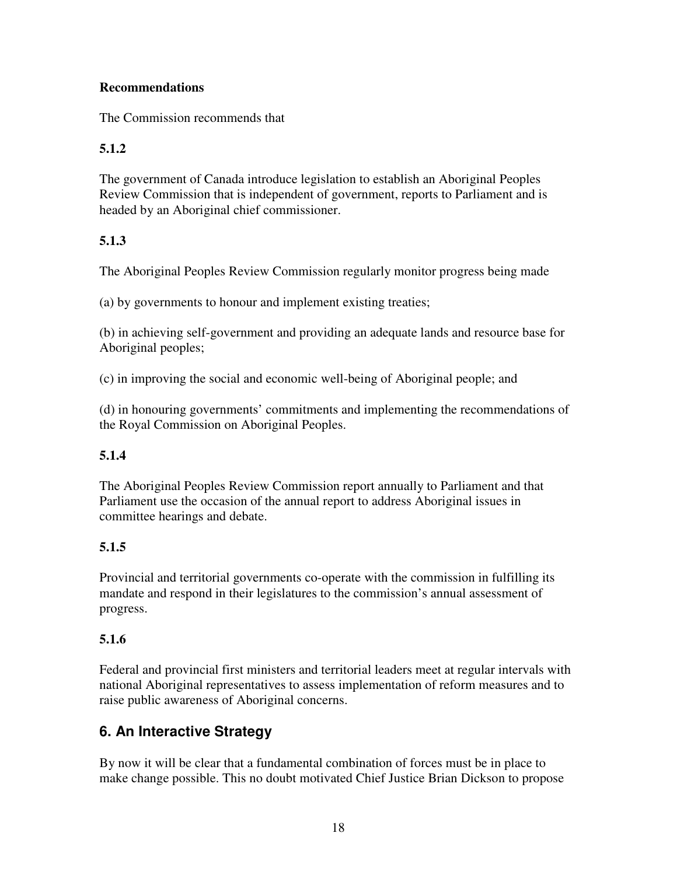#### **Recommendations**

The Commission recommends that

### **5.1.2**

The government of Canada introduce legislation to establish an Aboriginal Peoples Review Commission that is independent of government, reports to Parliament and is headed by an Aboriginal chief commissioner.

### **5.1.3**

The Aboriginal Peoples Review Commission regularly monitor progress being made

(a) by governments to honour and implement existing treaties;

(b) in achieving self-government and providing an adequate lands and resource base for Aboriginal peoples;

(c) in improving the social and economic well-being of Aboriginal people; and

(d) in honouring governments' commitments and implementing the recommendations of the Royal Commission on Aboriginal Peoples.

### **5.1.4**

The Aboriginal Peoples Review Commission report annually to Parliament and that Parliament use the occasion of the annual report to address Aboriginal issues in committee hearings and debate.

## **5.1.5**

Provincial and territorial governments co-operate with the commission in fulfilling its mandate and respond in their legislatures to the commission's annual assessment of progress.

## **5.1.6**

Federal and provincial first ministers and territorial leaders meet at regular intervals with national Aboriginal representatives to assess implementation of reform measures and to raise public awareness of Aboriginal concerns.

## **6. An Interactive Strategy**

By now it will be clear that a fundamental combination of forces must be in place to make change possible. This no doubt motivated Chief Justice Brian Dickson to propose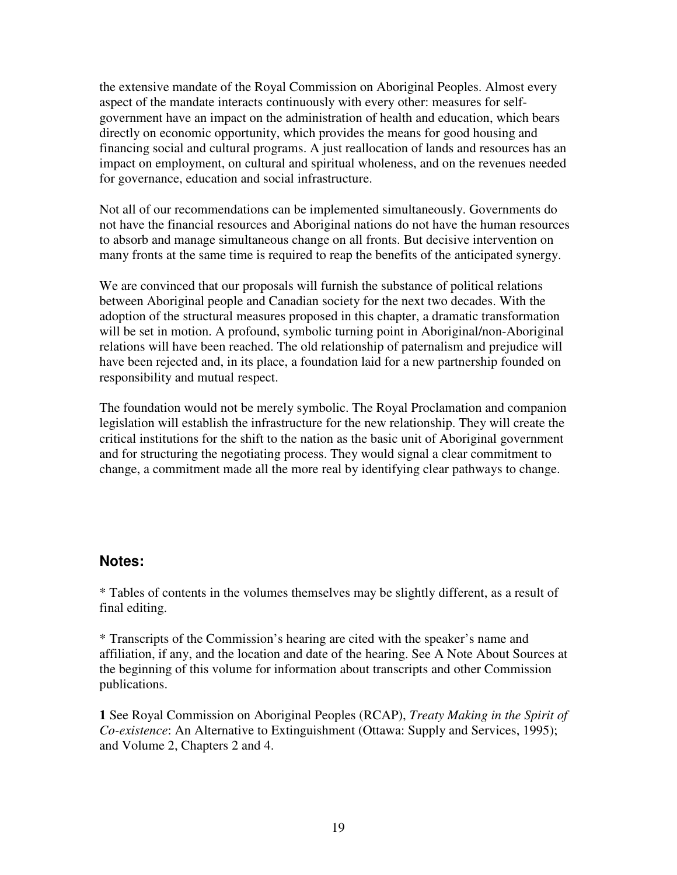the extensive mandate of the Royal Commission on Aboriginal Peoples. Almost every aspect of the mandate interacts continuously with every other: measures for selfgovernment have an impact on the administration of health and education, which bears directly on economic opportunity, which provides the means for good housing and financing social and cultural programs. A just reallocation of lands and resources has an impact on employment, on cultural and spiritual wholeness, and on the revenues needed for governance, education and social infrastructure.

Not all of our recommendations can be implemented simultaneously. Governments do not have the financial resources and Aboriginal nations do not have the human resources to absorb and manage simultaneous change on all fronts. But decisive intervention on many fronts at the same time is required to reap the benefits of the anticipated synergy.

We are convinced that our proposals will furnish the substance of political relations between Aboriginal people and Canadian society for the next two decades. With the adoption of the structural measures proposed in this chapter, a dramatic transformation will be set in motion. A profound, symbolic turning point in Aboriginal/non-Aboriginal relations will have been reached. The old relationship of paternalism and prejudice will have been rejected and, in its place, a foundation laid for a new partnership founded on responsibility and mutual respect.

The foundation would not be merely symbolic. The Royal Proclamation and companion legislation will establish the infrastructure for the new relationship. They will create the critical institutions for the shift to the nation as the basic unit of Aboriginal government and for structuring the negotiating process. They would signal a clear commitment to change, a commitment made all the more real by identifying clear pathways to change.

#### **Notes:**

\* Tables of contents in the volumes themselves may be slightly different, as a result of final editing.

\* Transcripts of the Commission's hearing are cited with the speaker's name and affiliation, if any, and the location and date of the hearing. See A Note About Sources at the beginning of this volume for information about transcripts and other Commission publications.

**1** See Royal Commission on Aboriginal Peoples (RCAP), *Treaty Making in the Spirit of Co-existence*: An Alternative to Extinguishment (Ottawa: Supply and Services, 1995); and Volume 2, Chapters 2 and 4.